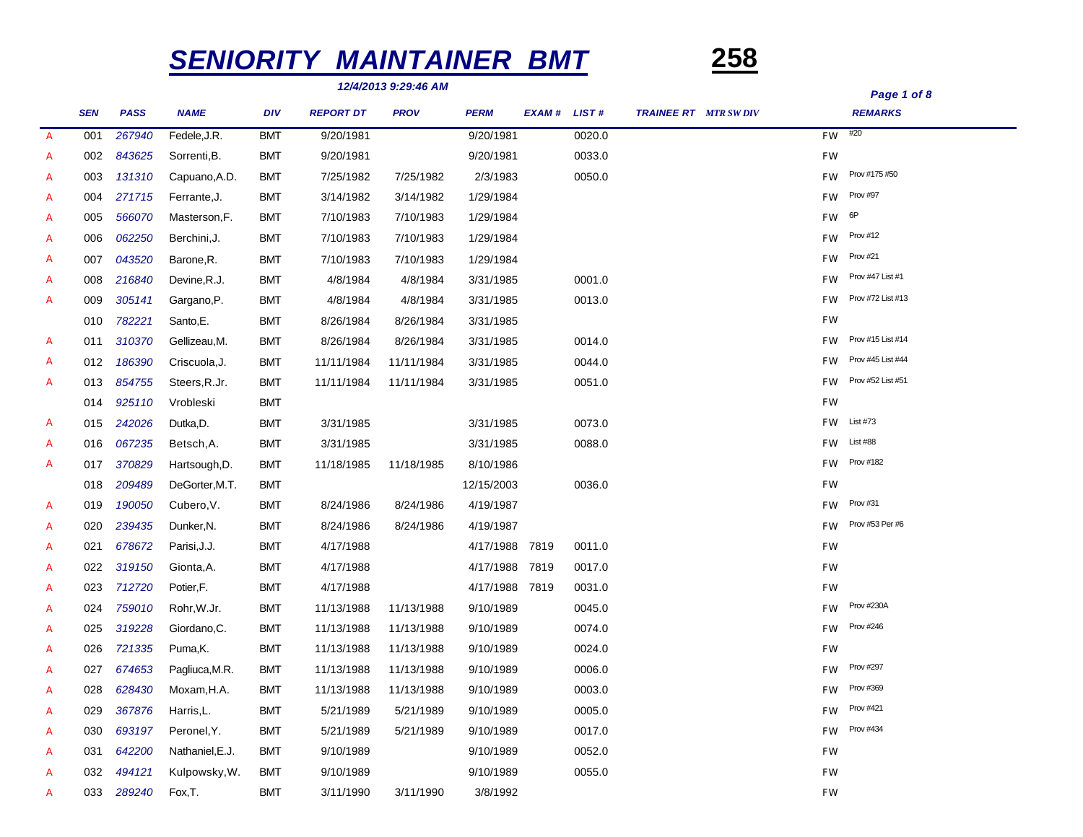# *SENIORITY MAINTAINER BMT* **258**

*12/4/2013 9:29:46 AM*

*SEN PASS NAME DIV REPORT DT PROV PERM EXAM # LIST # REMARKS TRAINEE RT MTR SW DIV A 267940* Fedele,J.R. BMT 9/20/1981 9/20/1981 0020.0 *FW* #20 001 *A* 002 *843625* Sorrenti,B. BMT 9/20/1981 9/20/1981 0033.0 *FW A 131310* Capuano,A.D. BMT 7/25/1982 7/25/1982 2/3/1983 0050.0 *FW* Prov #175 #50 003 *A 271715* Ferrante,J. BMT 3/14/1982 3/14/1982 1/29/1984 *FW* Prov #97 004 *A 566070* Masterson,F. BMT 7/10/1983 7/10/1983 1/29/1984 *FW* 6P 005 *A 062250* Berchini,J. BMT 7/10/1983 7/10/1983 1/29/1984 *FW* Prov #12 006 *A 043520* Barone,R. BMT 7/10/1983 7/10/1983 1/29/1984 *FW* Prov #21 007 *A 216840* Devine,R.J. BMT 4/8/1984 4/8/1984 3/31/1985 0001.0 *FW* Prov #47 List #1 008 *A 305141* Gargano,P. BMT 4/8/1984 4/8/1984 3/31/1985 0013.0 *FW* Prov #72 List #13 009 010 *782221* Santo,E. BMT 8/26/1984 8/26/1984 3/31/1985 *FW A 310370* Gellizeau,M. BMT 8/26/1984 8/26/1984 3/31/1985 0014.0 *FW* Prov #15 List #14 011 *A 186390* Criscuola,J. BMT 11/11/1984 11/11/1984 3/31/1985 0044.0 *FW* Prov #45 List #44 012 *A 854755* Steers,R.Jr. BMT 11/11/1984 11/11/1984 3/31/1985 0051.0 *FW* Prov #52 List #51 013 014 *925110* Vrobleski BMT *FW A 242026* Dutka,D. BMT 3/31/1985 3/31/1985 0073.0 *FW* List #73 015 *A 067235* Betsch,A. BMT 3/31/1985 3/31/1985 0088.0 *FW* List #88 016 *A 370829* Hartsough,D. BMT 11/18/1985 11/18/1985 8/10/1986 *FW* Prov #182 017 018 *209489* DeGorter,M.T. BMT 12/15/2003 0036.0 *FW A 190050* Cubero,V. BMT 8/24/1986 8/24/1986 4/19/1987 *FW* Prov #31 019 *A 239435* Dunker,N. BMT 8/24/1986 8/24/1986 4/19/1987 *FW* Prov #53 Per #6 020 *A* 021 *678672* Parisi,J.J. BMT 4/17/1988 4/17/1988 7819 0011.0 *FW A* 022 *319150* Gionta,A. BMT 4/17/1988 4/17/1988 7819 0017.0 *FW A* 023 *712720* Potier,F. BMT 4/17/1988 4/17/1988 7819 0031.0 *FW A 759010* Rohr,W.Jr. BMT 11/13/1988 11/13/1988 9/10/1989 0045.0 *FW* Prov #230A 024 *A 319228* Giordano,C. BMT 11/13/1988 11/13/1988 9/10/1989 0074.0 *FW* Prov #246 025 *A* 026 *721335* Puma,K. BMT 11/13/1988 11/13/1988 9/10/1989 0024.0 *FW A 674653* Pagliuca,M.R. BMT 11/13/1988 11/13/1988 9/10/1989 0006.0 *FW* Prov #297 027 *A 628430* Moxam,H.A. BMT 11/13/1988 11/13/1988 9/10/1989 0003.0 *FW* Prov #369 028 *A 367876* Harris,L. BMT 5/21/1989 5/21/1989 9/10/1989 0005.0 *FW* Prov #421 029 *A 693197* Peronel,Y. BMT 5/21/1989 5/21/1989 9/10/1989 0017.0 *FW* Prov #434 030 *A* 031 *642200* Nathaniel,E.J. BMT 9/10/1989 9/10/1989 0052.0 *FW A* 032 *494121* Kulpowsky,W. BMT 9/10/1989 9/10/1989 0055.0 *FW A* 033 *289240* Fox,T. BMT 3/11/1990 3/11/1990 3/8/1992 *FW*

*Page 1 of 8*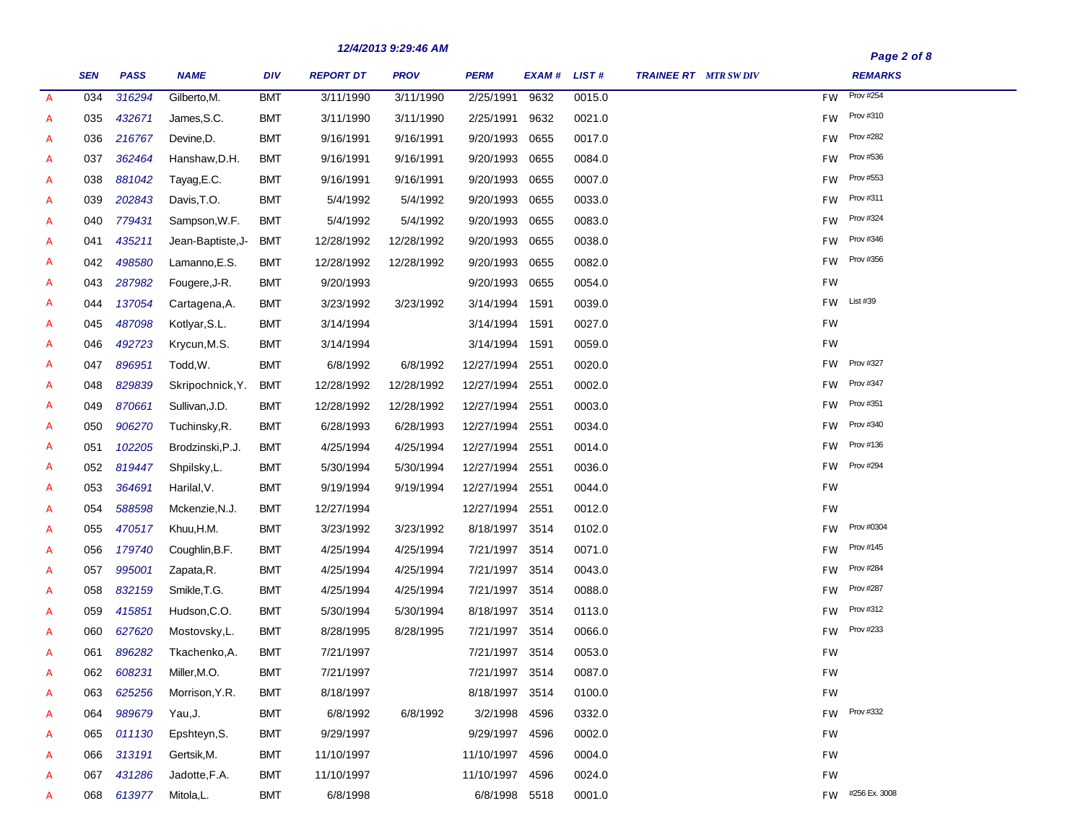|                |            |             |                   |            |                  | 14/4/4013 3.43.40 MM |                 |        |              |                             | Page 2 of 8                   |
|----------------|------------|-------------|-------------------|------------|------------------|----------------------|-----------------|--------|--------------|-----------------------------|-------------------------------|
|                | <b>SEN</b> | <b>PASS</b> | <b>NAME</b>       | <b>DIV</b> | <b>REPORT DT</b> | <b>PROV</b>          | <b>PERM</b>     | EXAM # | <b>LIST#</b> | <b>TRAINEE RT</b> MTR SWDIV | <b>REMARKS</b>                |
| $\overline{A}$ | 034        | 316294      | Gilberto, M.      | <b>BMT</b> | 3/11/1990        | 3/11/1990            | 2/25/1991       | 9632   | 0015.0       |                             | <b>Prov #254</b><br><b>FW</b> |
| A              | 035        | 432671      | James, S.C.       | BMT        | 3/11/1990        | 3/11/1990            | 2/25/1991       | 9632   | 0021.0       |                             | Prov #310<br>FW               |
| A              | 036        | 216767      | Devine, D.        | BMT        | 9/16/1991        | 9/16/1991            | 9/20/1993       | 0655   | 0017.0       |                             | <b>Prov #282</b><br>FW        |
| A              | 037        | 362464      | Hanshaw, D.H.     | <b>BMT</b> | 9/16/1991        | 9/16/1991            | 9/20/1993       | 0655   | 0084.0       |                             | Prov #536<br>FW               |
| A              | 038        | 881042      | Tayag, E.C.       | BMT        | 9/16/1991        | 9/16/1991            | 9/20/1993       | 0655   | 0007.0       |                             | Prov #553<br>FW               |
| A              | 039        | 202843      | Davis, T.O.       | BMT        | 5/4/1992         | 5/4/1992             | 9/20/1993       | 0655   | 0033.0       |                             | Prov #311<br>FW               |
| A              | 040        | 779431      | Sampson, W.F.     | <b>BMT</b> | 5/4/1992         | 5/4/1992             | 9/20/1993       | 0655   | 0083.0       |                             | Prov #324<br>FW               |
| A              | 041        | 435211      | Jean-Baptiste, J- | <b>BMT</b> | 12/28/1992       | 12/28/1992           | 9/20/1993       | 0655   | 0038.0       |                             | Prov #346<br><b>FW</b>        |
| A              | 042        | 498580      | Lamanno,E.S.      | <b>BMT</b> | 12/28/1992       | 12/28/1992           | 9/20/1993       | 0655   | 0082.0       |                             | Prov #356<br><b>FW</b>        |
| A              | 043        | 287982      | Fougere, J-R.     | <b>BMT</b> | 9/20/1993        |                      | 9/20/1993       | 0655   | 0054.0       |                             | <b>FW</b>                     |
| A              | 044        | 137054      | Cartagena, A.     | <b>BMT</b> | 3/23/1992        | 3/23/1992            | 3/14/1994       | 1591   | 0039.0       |                             | List #39<br>FW.               |
| A              | 045        | 487098      | Kotlyar, S.L.     | <b>BMT</b> | 3/14/1994        |                      | 3/14/1994 1591  |        | 0027.0       |                             | <b>FW</b>                     |
| A              | 046        | 492723      | Krycun, M.S.      | BMT        | 3/14/1994        |                      | 3/14/1994 1591  |        | 0059.0       |                             | <b>FW</b>                     |
| A              | 047        | 896951      | Todd, W.          | BMT        | 6/8/1992         | 6/8/1992             | 12/27/1994      | 2551   | 0020.0       |                             | Prov #327<br><b>FW</b>        |
| A              | 048        | 829839      | Skripochnick, Y.  | <b>BMT</b> | 12/28/1992       | 12/28/1992           | 12/27/1994      | 2551   | 0002.0       |                             | <b>Prov #347</b><br>FW.       |
| A              | 049        | 870661      | Sullivan, J.D.    | <b>BMT</b> | 12/28/1992       | 12/28/1992           | 12/27/1994      | 2551   | 0003.0       |                             | Prov #351<br><b>FW</b>        |
| A              | 050        | 906270      | Tuchinsky, R.     | BMT        | 6/28/1993        | 6/28/1993            | 12/27/1994      | 2551   | 0034.0       |                             | Prov #340<br><b>FW</b>        |
| A              | 051        | 102205      | Brodzinski, P.J.  | <b>BMT</b> | 4/25/1994        | 4/25/1994            | 12/27/1994      | 2551   | 0014.0       |                             | Prov #136<br><b>FW</b>        |
| A              | 052        | 819447      | Shpilsky, L.      | <b>BMT</b> | 5/30/1994        | 5/30/1994            | 12/27/1994      | 2551   | 0036.0       |                             | <b>Prov #294</b><br>FW.       |
| A              | 053        | 364691      | Harilal, V.       | <b>BMT</b> | 9/19/1994        | 9/19/1994            | 12/27/1994      | 2551   | 0044.0       |                             | FW                            |
| A              | 054        | 588598      | Mckenzie, N.J.    | <b>BMT</b> | 12/27/1994       |                      | 12/27/1994      | 2551   | 0012.0       |                             | FW                            |
| $\mathcal{A}$  | 055        | 470517      | Khuu, H.M.        | <b>BMT</b> | 3/23/1992        | 3/23/1992            | 8/18/1997 3514  |        | 0102.0       |                             | Prov #0304<br>FW              |
| A              | 056        | 179740      | Coughlin, B.F.    | <b>BMT</b> | 4/25/1994        | 4/25/1994            | 7/21/1997       | 3514   | 0071.0       |                             | Prov #145<br>FW               |
| A              | 057        | 995001      | Zapata, R.        | <b>BMT</b> | 4/25/1994        | 4/25/1994            | 7/21/1997       | 3514   | 0043.0       |                             | <b>Prov #284</b><br>FW        |
| A              | 058        | 832159      | Smikle, T.G.      | <b>BMT</b> | 4/25/1994        | 4/25/1994            | 7/21/1997       | 3514   | 0088.0       |                             | <b>Prov #287</b><br>FW        |
| $\mathcal{A}$  | 059        | 415851      | Hudson, C.O.      | <b>BMT</b> | 5/30/1994        | 5/30/1994            | 8/18/1997 3514  |        | 0113.0       |                             | Prov #312<br>FW               |
| A              | 060        | 627620      | Mostovsky,L.      | BMT        | 8/28/1995        | 8/28/1995            | 7/21/1997       | 3514   | 0066.0       |                             | Prov #233<br><b>FW</b>        |
| A              | 061        | 896282      | Tkachenko, A.     | BMT        | 7/21/1997        |                      | 7/21/1997 3514  |        | 0053.0       |                             | FW                            |
| А              | 062        | 608231      | Miller, M.O.      | <b>BMT</b> | 7/21/1997        |                      | 7/21/1997 3514  |        | 0087.0       |                             | FW                            |
| A              | 063        | 625256      | Morrison, Y.R.    | <b>BMT</b> | 8/18/1997        |                      | 8/18/1997 3514  |        | 0100.0       |                             | FW                            |
| A              | 064        | 989679      | Yau, J.           | <b>BMT</b> | 6/8/1992         | 6/8/1992             | 3/2/1998 4596   |        | 0332.0       |                             | Prov #332<br><b>FW</b>        |
| $\mathcal{A}$  | 065        | 011130      | Epshteyn, S.      | <b>BMT</b> | 9/29/1997        |                      | 9/29/1997 4596  |        | 0002.0       |                             | FW                            |
| A              | 066        | 313191      | Gertsik, M.       | <b>BMT</b> | 11/10/1997       |                      | 11/10/1997 4596 |        | 0004.0       |                             | FW                            |
| A              | 067        | 431286      | Jadotte, F.A.     | <b>BMT</b> | 11/10/1997       |                      | 11/10/1997 4596 |        | 0024.0       |                             | <b>FW</b>                     |
| A              | 068        | 613977      | Mitola,L.         | <b>BMT</b> | 6/8/1998         |                      | 6/8/1998 5518   |        | 0001.0       |                             | FW #256 Ex. 3008              |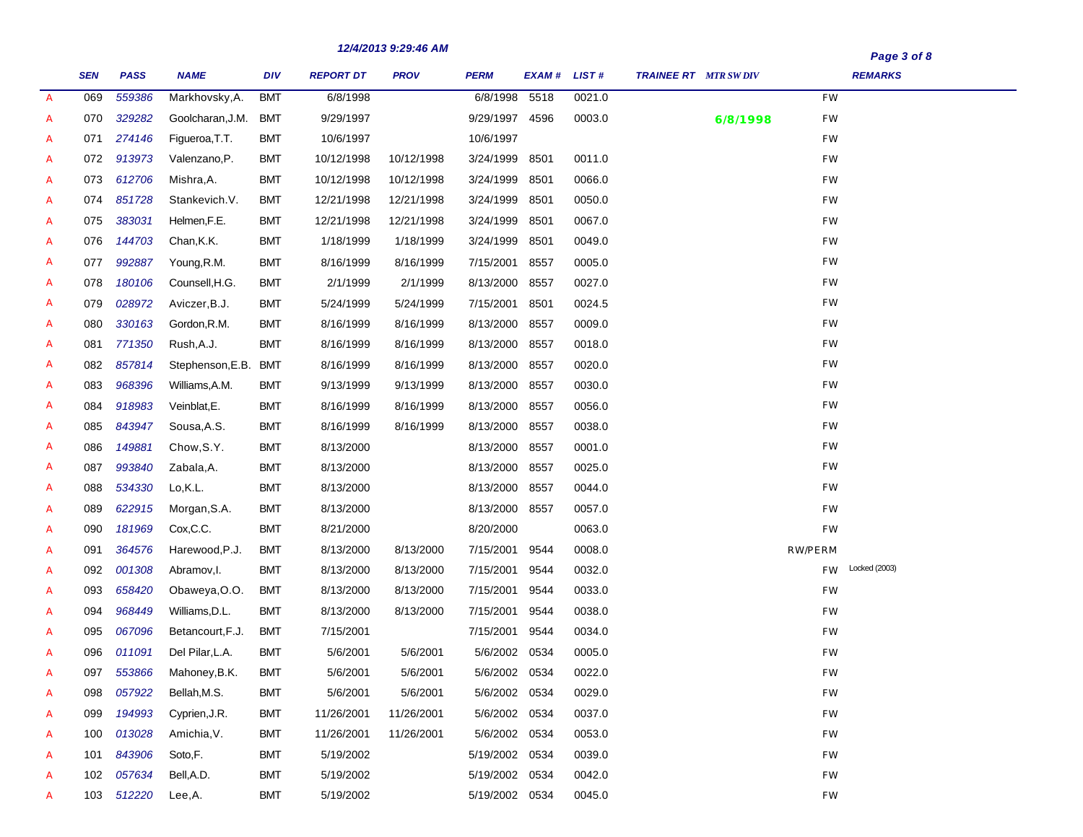|               |            |             |                  |            |                  | $12/7/20133.23.70$ mm |                |               |        |                              | Page 3 of 8         |
|---------------|------------|-------------|------------------|------------|------------------|-----------------------|----------------|---------------|--------|------------------------------|---------------------|
|               | <b>SEN</b> | <b>PASS</b> | <b>NAME</b>      | <b>DIV</b> | <b>REPORT DT</b> | <b>PROV</b>           | <b>PERM</b>    | EXAM # LIST # |        | <b>TRAINEE RT</b> MTR SW DIV | <b>REMARKS</b>      |
| $\mathcal{A}$ | 069        | 559386      | Markhovsky, A.   | <b>BMT</b> | 6/8/1998         |                       | 6/8/1998 5518  |               | 0021.0 |                              | <b>FW</b>           |
| A             | 070        | 329282      | Goolcharan, J.M. | <b>BMT</b> | 9/29/1997        |                       | 9/29/1997 4596 |               | 0003.0 | 6/8/1998                     | <b>FW</b>           |
| A             | 071        | 274146      | Figueroa, T.T.   | <b>BMT</b> | 10/6/1997        |                       | 10/6/1997      |               |        |                              | <b>FW</b>           |
| A             | 072        | 913973      | Valenzano, P.    | <b>BMT</b> | 10/12/1998       | 10/12/1998            | 3/24/1999      | 8501          | 0011.0 |                              | <b>FW</b>           |
| A             | 073        | 612706      | Mishra, A.       | <b>BMT</b> | 10/12/1998       | 10/12/1998            | 3/24/1999      | 8501          | 0066.0 |                              | FW                  |
| A             | 074        | 851728      | Stankevich.V.    | <b>BMT</b> | 12/21/1998       | 12/21/1998            | 3/24/1999      | 8501          | 0050.0 |                              | <b>FW</b>           |
| A             | 075        | 383031      | Helmen, F.E.     | <b>BMT</b> | 12/21/1998       | 12/21/1998            | 3/24/1999      | 8501          | 0067.0 |                              | <b>FW</b>           |
| A             | 076        | 144703      | Chan, K.K.       | <b>BMT</b> | 1/18/1999        | 1/18/1999             | 3/24/1999      | 8501          | 0049.0 |                              | <b>FW</b>           |
| A             | 077        | 992887      | Young, R.M.      | <b>BMT</b> | 8/16/1999        | 8/16/1999             | 7/15/2001      | 8557          | 0005.0 |                              | FW                  |
| A             | 078        | 180106      | Counsell, H.G.   | <b>BMT</b> | 2/1/1999         | 2/1/1999              | 8/13/2000 8557 |               | 0027.0 |                              | <b>FW</b>           |
| A             | 079        | 028972      | Aviczer, B.J.    | <b>BMT</b> | 5/24/1999        | 5/24/1999             | 7/15/2001      | 8501          | 0024.5 |                              | <b>FW</b>           |
| A             | 080        | 330163      | Gordon, R.M.     | <b>BMT</b> | 8/16/1999        | 8/16/1999             | 8/13/2000      | 8557          | 0009.0 |                              | FW                  |
| A             | 081        | 771350      | Rush, A.J.       | <b>BMT</b> | 8/16/1999        | 8/16/1999             | 8/13/2000      | 8557          | 0018.0 |                              | FW                  |
| A             | 082        | 857814      | Stephenson, E.B. | <b>BMT</b> | 8/16/1999        | 8/16/1999             | 8/13/2000      | 8557          | 0020.0 |                              | <b>FW</b>           |
| A             | 083        | 968396      | Williams, A.M.   | <b>BMT</b> | 9/13/1999        | 9/13/1999             | 8/13/2000      | 8557          | 0030.0 |                              | FW                  |
| A             | 084        | 918983      | Veinblat, E.     | <b>BMT</b> | 8/16/1999        | 8/16/1999             | 8/13/2000      | 8557          | 0056.0 |                              | FW                  |
| A             | 085        | 843947      | Sousa, A.S.      | <b>BMT</b> | 8/16/1999        | 8/16/1999             | 8/13/2000      | 8557          | 0038.0 |                              | FW                  |
| A             | 086        | 149881      | Chow, S.Y.       | <b>BMT</b> | 8/13/2000        |                       | 8/13/2000 8557 |               | 0001.0 |                              | <b>FW</b>           |
| A             | 087        | 993840      | Zabala, A.       | BMT        | 8/13/2000        |                       | 8/13/2000 8557 |               | 0025.0 |                              | <b>FW</b>           |
| A             | 088        | 534330      | Lo,K.L.          | <b>BMT</b> | 8/13/2000        |                       | 8/13/2000      | 8557          | 0044.0 |                              | <b>FW</b>           |
| A             | 089        | 622915      | Morgan, S.A.     | <b>BMT</b> | 8/13/2000        |                       | 8/13/2000      | 8557          | 0057.0 |                              | FW                  |
| A             | 090        | 181969      | Cox, C.C.        | <b>BMT</b> | 8/21/2000        |                       | 8/20/2000      |               | 0063.0 |                              | <b>FW</b>           |
| A             | 091        | 364576      | Harewood, P.J.   | <b>BMT</b> | 8/13/2000        | 8/13/2000             | 7/15/2001      | 9544          | 0008.0 |                              | <b>RW/PERM</b>      |
| A             | 092        | 001308      | Abramov, I.      | <b>BMT</b> | 8/13/2000        | 8/13/2000             | 7/15/2001      | 9544          | 0032.0 |                              | Locked (2003)<br>FW |
| A             | 093        | 658420      | Obaweya, O.O.    | <b>BMT</b> | 8/13/2000        | 8/13/2000             | 7/15/2001      | 9544          | 0033.0 |                              | <b>FW</b>           |
| A             | 094        | 968449      | Williams, D.L.   | <b>BMT</b> | 8/13/2000        | 8/13/2000             | 7/15/2001      | 9544          | 0038.0 |                              | <b>FW</b>           |
| A             | 095        | 067096      | Betancourt, F.J. | <b>BMT</b> | 7/15/2001        |                       | 7/15/2001      | 9544          | 0034.0 |                              | FW                  |
| A             | 096        | 011091      | Del Pilar, L.A.  | <b>BMT</b> | 5/6/2001         | 5/6/2001              | 5/6/2002 0534  |               | 0005.0 |                              | <b>FW</b>           |
| A             | 097        | 553866      | Mahoney, B.K.    | <b>BMT</b> | 5/6/2001         | 5/6/2001              | 5/6/2002 0534  |               | 0022.0 |                              | <b>FW</b>           |
| A             | 098        | 057922      | Bellah, M.S.     | <b>BMT</b> | 5/6/2001         | 5/6/2001              | 5/6/2002 0534  |               | 0029.0 |                              | FW                  |
| A             | 099        | 194993      | Cyprien, J.R.    | <b>BMT</b> | 11/26/2001       | 11/26/2001            | 5/6/2002 0534  |               | 0037.0 |                              | FW                  |
| A             | 100        | 013028      | Amichia, V.      | <b>BMT</b> | 11/26/2001       | 11/26/2001            | 5/6/2002 0534  |               | 0053.0 |                              | FW                  |
| A             | 101        | 843906      | Soto,F.          | <b>BMT</b> | 5/19/2002        |                       | 5/19/2002 0534 |               | 0039.0 |                              | FW                  |
| A             | 102        | 057634      | Bell, A.D.       | <b>BMT</b> | 5/19/2002        |                       | 5/19/2002 0534 |               | 0042.0 |                              | FW                  |
| A             | 103        | 512220      | Lee,A.           | <b>BMT</b> | 5/19/2002        |                       | 5/19/2002 0534 |               | 0045.0 |                              | $FW$                |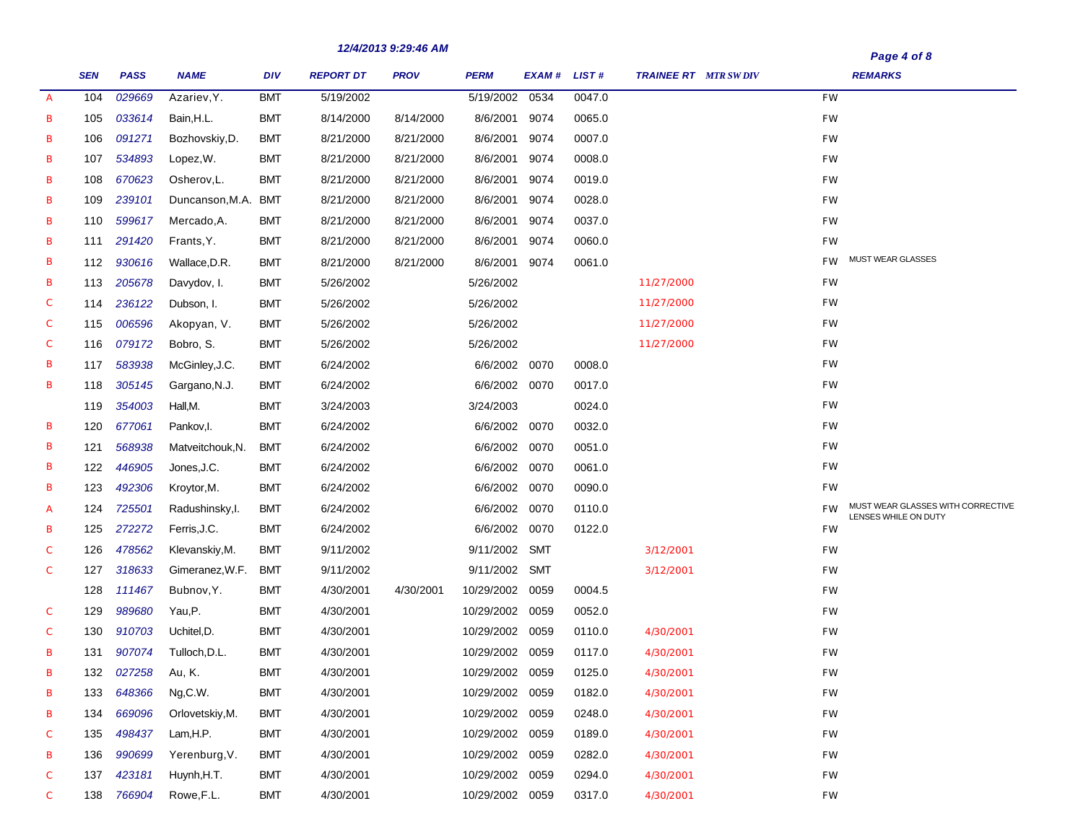|                  | <b>SEN</b> | <b>PASS</b> | <b>NAME</b>         | <b>DIV</b> | <b>REPORT DT</b> | 14/4/4013 3.43.40 MM<br><b>PROV</b> | <b>PERM</b>     | EXAM # LIST # |        | <b>TRAINEE RT</b> MTR SWDIV |           | Page 4 of 8<br><b>REMARKS</b>                             |
|------------------|------------|-------------|---------------------|------------|------------------|-------------------------------------|-----------------|---------------|--------|-----------------------------|-----------|-----------------------------------------------------------|
| $\mathcal{A}$    | 104        | 029669      | Azariev.Y.          | <b>BMT</b> | 5/19/2002        |                                     | 5/19/2002       | 0534          | 0047.0 |                             | <b>FW</b> |                                                           |
| В                | 105        | 033614      | Bain, H.L.          | BMT        | 8/14/2000        | 8/14/2000                           | 8/6/2001        | 9074          | 0065.0 |                             | FW        |                                                           |
| В                | 106        | 091271      | Bozhovskiy, D.      | <b>BMT</b> | 8/21/2000        | 8/21/2000                           | 8/6/2001        | 9074          | 0007.0 |                             | FW        |                                                           |
| В                | 107        | 534893      | Lopez, W.           | BMT        | 8/21/2000        | 8/21/2000                           | 8/6/2001        | 9074          | 0008.0 |                             | <b>FW</b> |                                                           |
| В                | 108        | 670623      | Osherov, L.         | <b>BMT</b> | 8/21/2000        | 8/21/2000                           | 8/6/2001        | 9074          | 0019.0 |                             | FW        |                                                           |
| В                | 109        | 239101      | Duncanson, M.A. BMT |            | 8/21/2000        | 8/21/2000                           | 8/6/2001        | 9074          | 0028.0 |                             | FW        |                                                           |
| В                | 110        | 599617      | Mercado, A.         | <b>BMT</b> | 8/21/2000        | 8/21/2000                           | 8/6/2001        | 9074          | 0037.0 |                             | <b>FW</b> |                                                           |
| В                | 111        | 291420      | Frants, Y.          | BMT        | 8/21/2000        | 8/21/2000                           | 8/6/2001        | 9074          | 0060.0 |                             | <b>FW</b> |                                                           |
| В                | 112        | 930616      | Wallace, D.R.       | <b>BMT</b> | 8/21/2000        | 8/21/2000                           | 8/6/2001        | 9074          | 0061.0 |                             | <b>FW</b> | <b>MUST WEAR GLASSES</b>                                  |
| В                | 113        | 205678      | Davydov, I.         | <b>BMT</b> | 5/26/2002        |                                     | 5/26/2002       |               |        | 11/27/2000                  | <b>FW</b> |                                                           |
| $\boldsymbol{C}$ | 114        | 236122      | Dubson, I.          | <b>BMT</b> | 5/26/2002        |                                     | 5/26/2002       |               |        | 11/27/2000                  | <b>FW</b> |                                                           |
| $\boldsymbol{C}$ | 115        | 006596      | Akopyan, V.         | <b>BMT</b> | 5/26/2002        |                                     | 5/26/2002       |               |        | 11/27/2000                  | <b>FW</b> |                                                           |
| $\mathcal{C}$    | 116        | 079172      | Bobro, S.           | <b>BMT</b> | 5/26/2002        |                                     | 5/26/2002       |               |        | 11/27/2000                  | <b>FW</b> |                                                           |
| В                | 117        | 583938      | McGinley, J.C.      | <b>BMT</b> | 6/24/2002        |                                     | 6/6/2002 0070   |               | 0008.0 |                             | <b>FW</b> |                                                           |
| В                | 118        | 305145      | Gargano, N.J.       | <b>BMT</b> | 6/24/2002        |                                     | 6/6/2002 0070   |               | 0017.0 |                             | <b>FW</b> |                                                           |
|                  | 119        | 354003      | Hall,M.             | <b>BMT</b> | 3/24/2003        |                                     | 3/24/2003       |               | 0024.0 |                             | <b>FW</b> |                                                           |
| в                | 120        | 677061      | Pankov, I.          | <b>BMT</b> | 6/24/2002        |                                     | 6/6/2002 0070   |               | 0032.0 |                             | <b>FW</b> |                                                           |
| В                | 121        | 568938      | Matveitchouk, N.    | <b>BMT</b> | 6/24/2002        |                                     | 6/6/2002 0070   |               | 0051.0 |                             | <b>FW</b> |                                                           |
| В                | 122        | 446905      | Jones, J.C.         | <b>BMT</b> | 6/24/2002        |                                     | 6/6/2002 0070   |               | 0061.0 |                             | <b>FW</b> |                                                           |
| В                | 123        | 492306      | Kroytor, M.         | <b>BMT</b> | 6/24/2002        |                                     | 6/6/2002 0070   |               | 0090.0 |                             | <b>FW</b> |                                                           |
| А                | 124        | 725501      | Radushinsky, I.     | <b>BMT</b> | 6/24/2002        |                                     | 6/6/2002 0070   |               | 0110.0 |                             | <b>FW</b> | MUST WEAR GLASSES WITH CORRECTIVE<br>LENSES WHILE ON DUTY |
| В                | 125        | 272272      | Ferris, J.C.        | <b>BMT</b> | 6/24/2002        |                                     | 6/6/2002        | 0070          | 0122.0 |                             | FW        |                                                           |
| С                | 126        | 478562      | Klevanskiy, M.      | <b>BMT</b> | 9/11/2002        |                                     | 9/11/2002       | SMT           |        | 3/12/2001                   | FW        |                                                           |
| C                | 127        | 318633      | Gimeranez, W.F.     | <b>BMT</b> | 9/11/2002        |                                     | 9/11/2002 SMT   |               |        | 3/12/2001                   | FW        |                                                           |
|                  | 128        | 111467      | Bubnov, Y.          | <b>BMT</b> | 4/30/2001        | 4/30/2001                           | 10/29/2002      | 0059          | 0004.5 |                             | FW        |                                                           |
| C                | 129        | 989680      | Yau,P.              | <b>BMT</b> | 4/30/2001        |                                     | 10/29/2002      | 0059          | 0052.0 |                             | FW        |                                                           |
| C                | 130        | 910703      | Uchitel, D.         | BMT        | 4/30/2001        |                                     | 10/29/2002      | 0059          | 0110.0 | 4/30/2001                   | FW        |                                                           |
| В                | 131        | 907074      | Tulloch, D.L.       | BMT        | 4/30/2001        |                                     | 10/29/2002 0059 |               | 0117.0 | 4/30/2001                   | FW        |                                                           |
| в                | 132        | 027258      | Au, K.              | <b>BMT</b> | 4/30/2001        |                                     | 10/29/2002 0059 |               | 0125.0 | 4/30/2001                   | <b>FW</b> |                                                           |
| в                | 133        | 648366      | Ng,C.W.             | <b>BMT</b> | 4/30/2001        |                                     | 10/29/2002 0059 |               | 0182.0 | 4/30/2001                   | FW        |                                                           |
| В                | 134        | 669096      | Orlovetskiy, M.     | <b>BMT</b> | 4/30/2001        |                                     | 10/29/2002 0059 |               | 0248.0 | 4/30/2001                   | FW        |                                                           |
| С                | 135        | 498437      | Lam, H.P.           | <b>BMT</b> | 4/30/2001        |                                     | 10/29/2002 0059 |               | 0189.0 | 4/30/2001                   | FW        |                                                           |
| В                | 136        | 990699      | Yerenburg, V.       | <b>BMT</b> | 4/30/2001        |                                     | 10/29/2002 0059 |               | 0282.0 | 4/30/2001                   | FW        |                                                           |
| С                | 137        | 423181      | Huynh, H.T.         | <b>BMT</b> | 4/30/2001        |                                     | 10/29/2002 0059 |               | 0294.0 | 4/30/2001                   | FW        |                                                           |
| $\mathcal{C}$    | 138        | 766904      | Rowe, F.L.          | <b>BMT</b> | 4/30/2001        |                                     | 10/29/2002 0059 |               | 0317.0 | 4/30/2001                   | FW        |                                                           |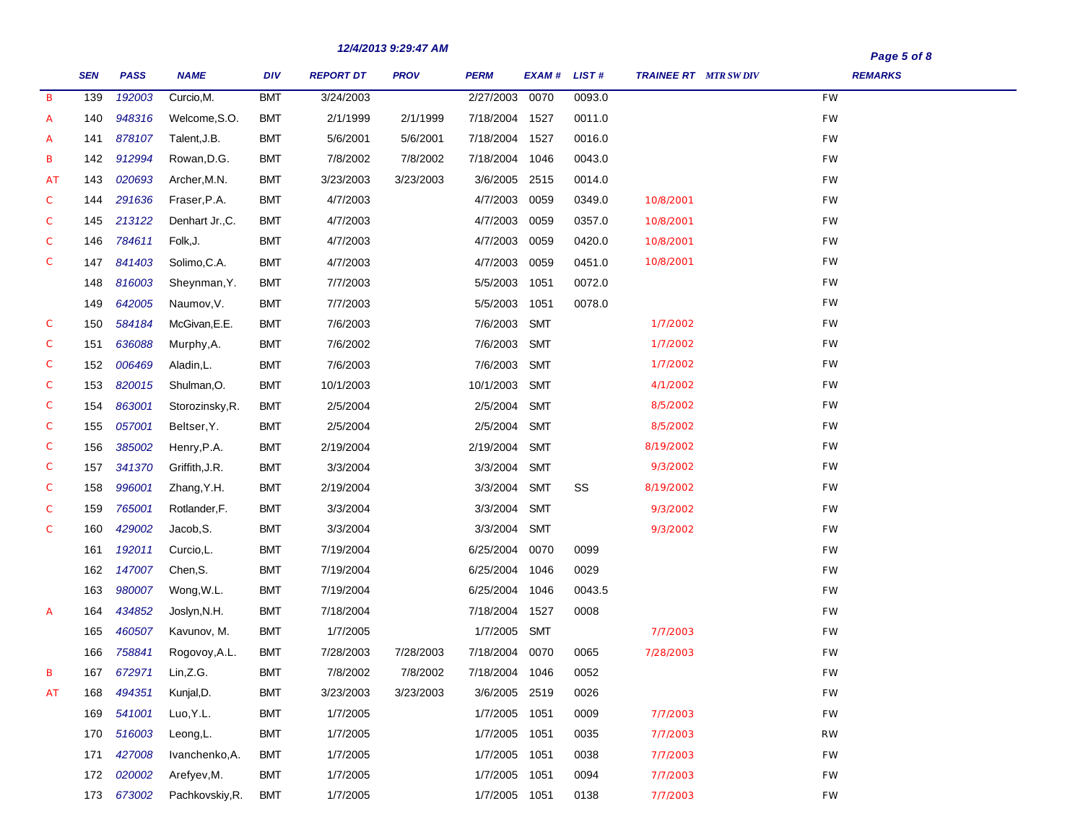|               |            |             |                 |            |                  | 14/4/4013 3.43.41 MIN |                |               |        |                              | Page 5 of 8<br><b>REMARKS</b> |
|---------------|------------|-------------|-----------------|------------|------------------|-----------------------|----------------|---------------|--------|------------------------------|-------------------------------|
|               | <b>SEN</b> | <b>PASS</b> | <b>NAME</b>     | DIV        | <b>REPORT DT</b> | <b>PROV</b>           | <b>PERM</b>    | EXAM # LIST # |        | <b>TRAINEE RT</b> MTR SW DIV |                               |
| B             | 139        | 192003      | Curcio, M.      | <b>BMT</b> | 3/24/2003        |                       | 2/27/2003      | 0070          | 0093.0 |                              | <b>FW</b>                     |
| A             | 140        | 948316      | Welcome, S.O.   | <b>BMT</b> | 2/1/1999         | 2/1/1999              | 7/18/2004 1527 |               | 0011.0 |                              | FW                            |
| A             | 141        | 878107      | Talent, J.B.    | <b>BMT</b> | 5/6/2001         | 5/6/2001              | 7/18/2004 1527 |               | 0016.0 |                              | <b>FW</b>                     |
| В             | 142        | 912994      | Rowan, D.G.     | <b>BMT</b> | 7/8/2002         | 7/8/2002              | 7/18/2004 1046 |               | 0043.0 |                              | <b>FW</b>                     |
| AT            | 143        | 020693      | Archer, M.N.    | <b>BMT</b> | 3/23/2003        | 3/23/2003             | 3/6/2005       | 2515          | 0014.0 |                              | <b>FW</b>                     |
| $\mathcal{C}$ | 144        | 291636      | Fraser, P.A.    | <b>BMT</b> | 4/7/2003         |                       | 4/7/2003       | 0059          | 0349.0 | 10/8/2001                    | <b>FW</b>                     |
| $\mathcal{C}$ | 145        | 213122      | Denhart Jr., C. | <b>BMT</b> | 4/7/2003         |                       | 4/7/2003       | 0059          | 0357.0 | 10/8/2001                    | <b>FW</b>                     |
| С             | 146        | 784611      | Folk, J.        | <b>BMT</b> | 4/7/2003         |                       | 4/7/2003       | 0059          | 0420.0 | 10/8/2001                    | <b>FW</b>                     |
| $\mathcal{C}$ | 147        | 841403      | Solimo, C.A.    | <b>BMT</b> | 4/7/2003         |                       | 4/7/2003       | 0059          | 0451.0 | 10/8/2001                    | <b>FW</b>                     |
|               | 148        | 816003      | Sheynman, Y.    | <b>BMT</b> | 7/7/2003         |                       | 5/5/2003       | 1051          | 0072.0 |                              | <b>FW</b>                     |
|               | 149        | 642005      | Naumov, V.      | <b>BMT</b> | 7/7/2003         |                       | 5/5/2003       | 1051          | 0078.0 |                              | <b>FW</b>                     |
| C             | 150        | 584184      | McGivan, E.E.   | <b>BMT</b> | 7/6/2003         |                       | 7/6/2003       | <b>SMT</b>    |        | 1/7/2002                     | <b>FW</b>                     |
| $\mathcal C$  | 151        | 636088      | Murphy, A.      | <b>BMT</b> | 7/6/2002         |                       | 7/6/2003       | <b>SMT</b>    |        | 1/7/2002                     | <b>FW</b>                     |
| C             | 152        | 006469      | Aladin, L.      | <b>BMT</b> | 7/6/2003         |                       | 7/6/2003       | <b>SMT</b>    |        | 1/7/2002                     | <b>FW</b>                     |
| C             | 153        | 820015      | Shulman, O.     | <b>BMT</b> | 10/1/2003        |                       | 10/1/2003      | <b>SMT</b>    |        | 4/1/2002                     | <b>FW</b>                     |
| C             | 154        | 863001      | Storozinsky, R. | <b>BMT</b> | 2/5/2004         |                       | 2/5/2004       | <b>SMT</b>    |        | 8/5/2002                     | <b>FW</b>                     |
| $\mathcal C$  | 155        | 057001      | Beltser, Y.     | <b>BMT</b> | 2/5/2004         |                       | 2/5/2004       | <b>SMT</b>    |        | 8/5/2002                     | <b>FW</b>                     |
| C             | 156        | 385002      | Henry, P.A.     | <b>BMT</b> | 2/19/2004        |                       | 2/19/2004      | <b>SMT</b>    |        | 8/19/2002                    | <b>FW</b>                     |
| C             | 157        | 341370      | Griffith, J.R.  | <b>BMT</b> | 3/3/2004         |                       | 3/3/2004       | SMT           |        | 9/3/2002                     | FW                            |
| C             | 158        | 996001      | Zhang, Y.H.     | <b>BMT</b> | 2/19/2004        |                       | 3/3/2004       | <b>SMT</b>    | SS     | 8/19/2002                    | FW                            |
| C             | 159        | 765001      | Rotlander, F.   | <b>BMT</b> | 3/3/2004         |                       | 3/3/2004       | <b>SMT</b>    |        | 9/3/2002                     | FW                            |
| C             | 160        | 429002      | Jacob, S.       | <b>BMT</b> | 3/3/2004         |                       | 3/3/2004       | <b>SMT</b>    |        | 9/3/2002                     | FW                            |
|               | 161        | 192011      | Curcio, L.      | <b>BMT</b> | 7/19/2004        |                       | 6/25/2004      | 0070          | 0099   |                              | FW                            |
|               | 162        | 147007      | Chen, S.        | <b>BMT</b> | 7/19/2004        |                       | 6/25/2004      | 1046          | 0029   |                              | FW                            |
|               | 163        | 980007      | Wong, W.L.      | <b>BMT</b> | 7/19/2004        |                       | 6/25/2004      | 1046          | 0043.5 |                              | FW                            |
| A             | 164        | 434852      | Joslyn, N.H.    | <b>BMT</b> | 7/18/2004        |                       | 7/18/2004      | 1527          | 0008   |                              | FW                            |
|               | 165        | 460507      | Kavunov, M.     | <b>BMT</b> | 1/7/2005         |                       | 1/7/2005       | <b>SMT</b>    |        | 7/7/2003                     | FW                            |
|               | 166        | 758841      | Rogovoy, A.L.   | <b>BMT</b> | 7/28/2003        | 7/28/2003             | 7/18/2004      | 0070          | 0065   | 7/28/2003                    | FW                            |
| В             | 167        | 672971      | Lin,Z.G.        | <b>BMT</b> | 7/8/2002         | 7/8/2002              | 7/18/2004 1046 |               | 0052   |                              | <b>FW</b>                     |
| AT            | 168        | 494351      | Kunjal, D.      | <b>BMT</b> | 3/23/2003        | 3/23/2003             | 3/6/2005 2519  |               | 0026   |                              | <b>FW</b>                     |
|               | 169        | 541001      | Luo, Y.L.       | <b>BMT</b> | 1/7/2005         |                       | 1/7/2005 1051  |               | 0009   | 7/7/2003                     | <b>FW</b>                     |
|               | 170        | 516003      | Leong, L.       | <b>BMT</b> | 1/7/2005         |                       | 1/7/2005 1051  |               | 0035   | 7/7/2003                     | <b>RW</b>                     |
|               | 171        | 427008      | Ivanchenko, A.  | <b>BMT</b> | 1/7/2005         |                       | 1/7/2005 1051  |               | 0038   | 7/7/2003                     | FW                            |
|               | 172        | 020002      | Arefyev, M.     | <b>BMT</b> | 1/7/2005         |                       | 1/7/2005 1051  |               | 0094   | 7/7/2003                     | FW                            |
|               |            | 173 673002  | Pachkovskiy, R. | <b>BMT</b> | 1/7/2005         |                       | 1/7/2005 1051  |               | 0138   | 7/7/2003                     | FW                            |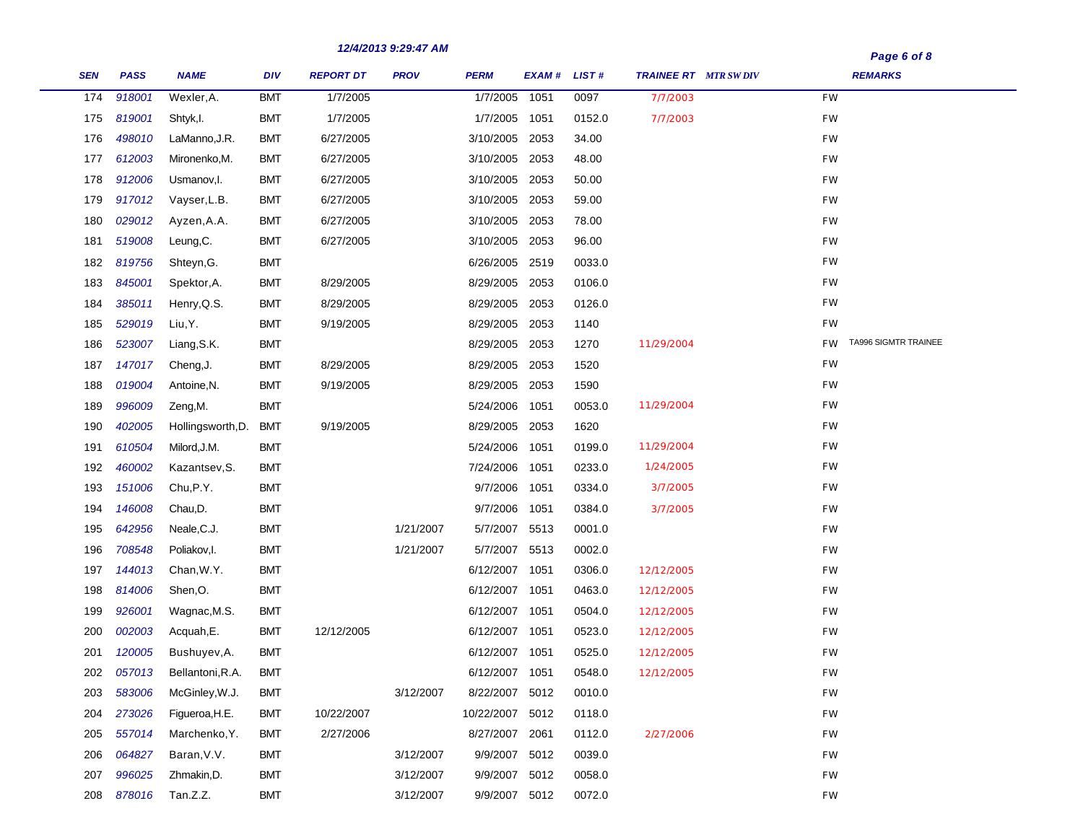| Page 6 of 8 |  |  |
|-------------|--|--|
|-------------|--|--|

| <b>SEN</b> | <b>PASS</b> | <b>NAME</b>       | DIV        | <b>REPORT DT</b> | <b>PROV</b> | <b>PERM</b>     | EXAM # LIST # |        | <b>TRAINEE RT</b> MTR SW DIV | <b>REMARKS</b>                           |
|------------|-------------|-------------------|------------|------------------|-------------|-----------------|---------------|--------|------------------------------|------------------------------------------|
| 174        | 918001      | Wexler, A.        | <b>BMT</b> | 1/7/2005         |             | 1/7/2005        | 1051          | 0097   | 7/7/2003                     | FW                                       |
| 175        | 819001      | Shtyk, I.         | <b>BMT</b> | 1/7/2005         |             | 1/7/2005 1051   |               | 0152.0 | 7/7/2003                     | FW                                       |
| 176        | 498010      | LaManno, J.R.     | <b>BMT</b> | 6/27/2005        |             | 3/10/2005       | 2053          | 34.00  |                              | FW                                       |
| 177        | 612003      | Mironenko, M.     | <b>BMT</b> | 6/27/2005        |             | 3/10/2005 2053  |               | 48.00  |                              | FW                                       |
| 178        | 912006      | Usmanov, I.       | BMT        | 6/27/2005        |             | 3/10/2005       | 2053          | 50.00  |                              | <b>FW</b>                                |
| 179        | 917012      | Vayser, L.B.      | <b>BMT</b> | 6/27/2005        |             | 3/10/2005 2053  |               | 59.00  |                              | FW                                       |
| 180        | 029012      | Ayzen, A.A.       | <b>BMT</b> | 6/27/2005        |             | 3/10/2005       | 2053          | 78.00  |                              | FW                                       |
| 181        | 519008      | Leung, C.         | <b>BMT</b> | 6/27/2005        |             | 3/10/2005 2053  |               | 96.00  |                              | FW                                       |
| 182        | 819756      | Shteyn, G.        | <b>BMT</b> |                  |             | 6/26/2005       | 2519          | 0033.0 |                              | FW                                       |
| 183        | 845001      | Spektor, A.       | <b>BMT</b> | 8/29/2005        |             | 8/29/2005       | 2053          | 0106.0 |                              | FW                                       |
| 184        | 385011      | Henry, Q.S.       | <b>BMT</b> | 8/29/2005        |             | 8/29/2005       | 2053          | 0126.0 |                              | FW                                       |
| 185        | 529019      | Liu, Y.           | <b>BMT</b> | 9/19/2005        |             | 8/29/2005       | 2053          | 1140   |                              | FW                                       |
| 186        | 523007      | Liang, S.K.       | <b>BMT</b> |                  |             | 8/29/2005       | 2053          | 1270   | 11/29/2004                   | <b>TA996 SIGMTR TRAINEE</b><br><b>FW</b> |
| 187        | 147017      | Cheng, J.         | <b>BMT</b> | 8/29/2005        |             | 8/29/2005       | 2053          | 1520   |                              | FW                                       |
| 188        | 019004      | Antoine, N.       | <b>BMT</b> | 9/19/2005        |             | 8/29/2005       | 2053          | 1590   |                              | FW                                       |
| 189        | 996009      | Zeng,M.           | <b>BMT</b> |                  |             | 5/24/2006       | 1051          | 0053.0 | 11/29/2004                   | FW                                       |
| 190        | 402005      | Hollingsworth, D. | <b>BMT</b> | 9/19/2005        |             | 8/29/2005       | 2053          | 1620   |                              | FW                                       |
| 191        | 610504      | Milord, J.M.      | <b>BMT</b> |                  |             | 5/24/2006       | 1051          | 0199.0 | 11/29/2004                   | FW                                       |
| 192        | 460002      | Kazantsev, S.     | <b>BMT</b> |                  |             | 7/24/2006       | 1051          | 0233.0 | 1/24/2005                    | FW                                       |
| 193        | 151006      | Chu,P.Y.          | <b>BMT</b> |                  |             | 9/7/2006        | 1051          | 0334.0 | 3/7/2005                     | FW                                       |
| 194        | 146008      | Chau, D.          | <b>BMT</b> |                  |             | 9/7/2006        | 1051          | 0384.0 | 3/7/2005                     | FW                                       |
| 195        | 642956      | Neale, C.J.       | <b>BMT</b> |                  | 1/21/2007   | 5/7/2007 5513   |               | 0001.0 |                              | FW                                       |
| 196        | 708548      | Poliakov, I.      | <b>BMT</b> |                  | 1/21/2007   | 5/7/2007        | 5513          | 0002.0 |                              | FW                                       |
| 197        | 144013      | Chan, W.Y.        | <b>BMT</b> |                  |             | 6/12/2007 1051  |               | 0306.0 | 12/12/2005                   | FW                                       |
| 198        | 814006      | Shen,O.           | <b>BMT</b> |                  |             | 6/12/2007       | 1051          | 0463.0 | 12/12/2005                   | FW                                       |
| 199        | 926001      | Wagnac, M.S.      | <b>BMT</b> |                  |             | 6/12/2007 1051  |               | 0504.0 | 12/12/2005                   | FW                                       |
| 200        | 002003      | Acquah, E.        | <b>BMT</b> | 12/12/2005       |             | 6/12/2007 1051  |               | 0523.0 | 12/12/2005                   | FW                                       |
| 201        | 120005      | Bushuyev, A.      | <b>BMT</b> |                  |             | 6/12/2007 1051  |               | 0525.0 | 12/12/2005                   | FW                                       |
| 202        | 057013      | Bellantoni, R.A.  | <b>BMT</b> |                  |             | 6/12/2007 1051  |               | 0548.0 | 12/12/2005                   | FW                                       |
| 203        | 583006      | McGinley, W.J.    | <b>BMT</b> |                  | 3/12/2007   | 8/22/2007 5012  |               | 0010.0 |                              | FW                                       |
| 204        | 273026      | Figueroa, H.E.    | <b>BMT</b> | 10/22/2007       |             | 10/22/2007 5012 |               | 0118.0 |                              | FW                                       |
| 205        | 557014      | Marchenko, Y.     | <b>BMT</b> | 2/27/2006        |             | 8/27/2007 2061  |               | 0112.0 | 2/27/2006                    | FW                                       |
| 206        | 064827      | Baran, V.V.       | <b>BMT</b> |                  | 3/12/2007   | 9/9/2007 5012   |               | 0039.0 |                              | FW                                       |
| 207        | 996025      | Zhmakin, D.       | <b>BMT</b> |                  | 3/12/2007   | 9/9/2007 5012   |               | 0058.0 |                              | FW                                       |
| 208        | 878016      | Tan.Z.Z.          | <b>BMT</b> |                  | 3/12/2007   | 9/9/2007 5012   |               | 0072.0 |                              | <b>FW</b>                                |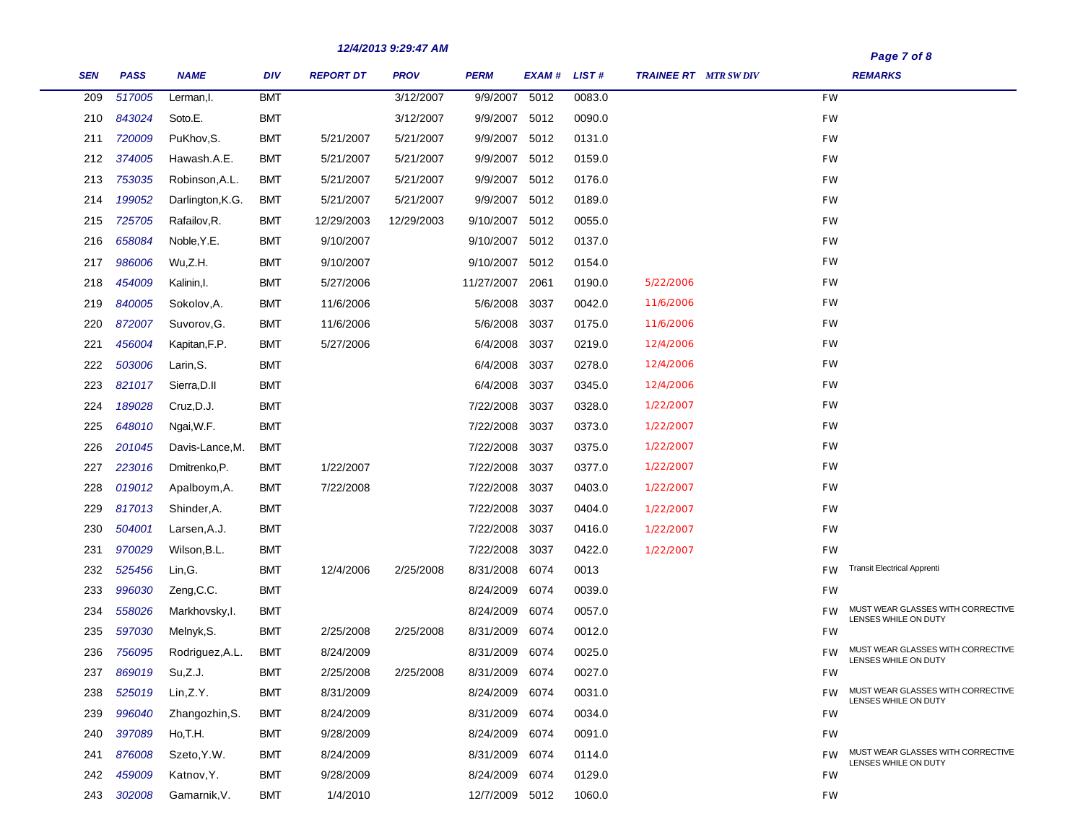|            |             |                  |            |                  | 12/4/2013 9:29:47 AM |                |             |        |                             | Page 7 of 8 |                                                           |  |
|------------|-------------|------------------|------------|------------------|----------------------|----------------|-------------|--------|-----------------------------|-------------|-----------------------------------------------------------|--|
| <b>SEN</b> | <b>PASS</b> | <b>NAME</b>      | <b>DIV</b> | <b>REPORT DT</b> | <b>PROV</b>          | <b>PERM</b>    | EXAM# LIST# |        | <b>TRAINEE RT</b> MTR SWDIV |             | <b>REMARKS</b>                                            |  |
| 209        | 517005      | Lerman, I.       | <b>BMT</b> |                  | 3/12/2007            | 9/9/2007       | 5012        | 0083.0 |                             | <b>FW</b>   |                                                           |  |
| 210        | 843024      | Soto.E.          | <b>BMT</b> |                  | 3/12/2007            | 9/9/2007 5012  |             | 0090.0 |                             | <b>FW</b>   |                                                           |  |
| 211        | 720009      | PuKhov, S.       | <b>BMT</b> | 5/21/2007        | 5/21/2007            | 9/9/2007 5012  |             | 0131.0 |                             | <b>FW</b>   |                                                           |  |
| 212        | 374005      | Hawash.A.E.      | <b>BMT</b> | 5/21/2007        | 5/21/2007            | 9/9/2007 5012  |             | 0159.0 |                             | <b>FW</b>   |                                                           |  |
| 213        | 753035      | Robinson, A.L.   | <b>BMT</b> | 5/21/2007        | 5/21/2007            | 9/9/2007       | 5012        | 0176.0 |                             | <b>FW</b>   |                                                           |  |
| 214        | 199052      | Darlington, K.G. | <b>BMT</b> | 5/21/2007        | 5/21/2007            | 9/9/2007 5012  |             | 0189.0 |                             | <b>FW</b>   |                                                           |  |
| 215        | 725705      | Rafailov, R.     | <b>BMT</b> | 12/29/2003       | 12/29/2003           | 9/10/2007      | 5012        | 0055.0 |                             | <b>FW</b>   |                                                           |  |
| 216        | 658084      | Noble, Y.E.      | <b>BMT</b> | 9/10/2007        |                      | 9/10/2007 5012 |             | 0137.0 |                             | <b>FW</b>   |                                                           |  |
| 217        | 986006      | Wu,Z.H.          | <b>BMT</b> | 9/10/2007        |                      | 9/10/2007 5012 |             | 0154.0 |                             | <b>FW</b>   |                                                           |  |
| 218        | 454009      | Kalinin, I.      | <b>BMT</b> | 5/27/2006        |                      | 11/27/2007     | 2061        | 0190.0 | 5/22/2006                   | <b>FW</b>   |                                                           |  |
| 219        | 840005      | Sokolov, A.      | <b>BMT</b> | 11/6/2006        |                      | 5/6/2008 3037  |             | 0042.0 | 11/6/2006                   | <b>FW</b>   |                                                           |  |
| 220        | 872007      | Suvorov, G.      | <b>BMT</b> | 11/6/2006        |                      | 5/6/2008       | 3037        | 0175.0 | 11/6/2006                   | <b>FW</b>   |                                                           |  |
| 221        | 456004      | Kapitan, F.P.    | <b>BMT</b> | 5/27/2006        |                      | 6/4/2008       | 3037        | 0219.0 | 12/4/2006                   | <b>FW</b>   |                                                           |  |
| 222        | 503006      | Larin, S.        | <b>BMT</b> |                  |                      | 6/4/2008       | 3037        | 0278.0 | 12/4/2006                   | <b>FW</b>   |                                                           |  |
| 223        | 821017      | Sierra, D.II     | <b>BMT</b> |                  |                      | 6/4/2008       | 3037        | 0345.0 | 12/4/2006                   | <b>FW</b>   |                                                           |  |
| 224        | 189028      | Cruz, D.J.       | <b>BMT</b> |                  |                      | 7/22/2008      | 3037        | 0328.0 | 1/22/2007                   | <b>FW</b>   |                                                           |  |
| 225        | 648010      | Ngai, W.F.       | <b>BMT</b> |                  |                      | 7/22/2008      | 3037        | 0373.0 | 1/22/2007                   | <b>FW</b>   |                                                           |  |
| 226        | 201045      | Davis-Lance, M.  | <b>BMT</b> |                  |                      | 7/22/2008      | 3037        | 0375.0 | 1/22/2007                   | <b>FW</b>   |                                                           |  |
| 227        | 223016      | Dmitrenko, P.    | <b>BMT</b> | 1/22/2007        |                      | 7/22/2008      | 3037        | 0377.0 | 1/22/2007                   | <b>FW</b>   |                                                           |  |
| 228        | 019012      | Apalboym, A.     | <b>BMT</b> | 7/22/2008        |                      | 7/22/2008      | 3037        | 0403.0 | 1/22/2007                   | <b>FW</b>   |                                                           |  |
| 229        | 817013      | Shinder, A.      | <b>BMT</b> |                  |                      | 7/22/2008      | 3037        | 0404.0 | 1/22/2007                   | <b>FW</b>   |                                                           |  |
| 230        | 504001      | Larsen, A.J.     | <b>BMT</b> |                  |                      | 7/22/2008      | 3037        | 0416.0 | 1/22/2007                   | FW          |                                                           |  |
| 231        | 970029      | Wilson, B.L.     | <b>BMT</b> |                  |                      | 7/22/2008      | 3037        | 0422.0 | 1/22/2007                   | <b>FW</b>   |                                                           |  |
| 232        | 525456      | Lin,G.           | <b>BMT</b> | 12/4/2006        | 2/25/2008            | 8/31/2008      | 6074        | 0013   |                             | <b>FW</b>   | <b>Transit Electrical Apprenti</b>                        |  |
| 233        | 996030      | Zeng, C.C.       | <b>BMT</b> |                  |                      | 8/24/2009 6074 |             | 0039.0 |                             | FW          |                                                           |  |
| 234        | 558026      | Markhovsky, I.   | <b>BMT</b> |                  |                      | 8/24/2009      | 6074        | 0057.0 |                             | FW          | MUST WEAR GLASSES WITH CORRECTIVE<br>LENSES WHILE ON DUTY |  |
| 235        | 597030      | Melnyk, S.       | <b>BMT</b> | 2/25/2008        | 2/25/2008            | 8/31/2009      | 6074        | 0012.0 |                             | FW          |                                                           |  |
| 236        | 756095      | Rodriguez, A.L.  | <b>BMT</b> | 8/24/2009        |                      | 8/31/2009      | 6074        | 0025.0 |                             | FW.         | MUST WEAR GLASSES WITH CORRECTIVE<br>LENSES WHILE ON DUTY |  |
| 237        | 869019      | Su,Z.J.          | <b>BMT</b> | 2/25/2008        | 2/25/2008            | 8/31/2009 6074 |             | 0027.0 |                             | FW          |                                                           |  |
| 238        | 525019      | Lin, Z.Y.        | <b>BMT</b> | 8/31/2009        |                      | 8/24/2009 6074 |             | 0031.0 |                             | <b>FW</b>   | MUST WEAR GLASSES WITH CORRECTIVE<br>LENSES WHILE ON DUTY |  |
| 239        | 996040      | Zhangozhin, S.   | <b>BMT</b> | 8/24/2009        |                      | 8/31/2009 6074 |             | 0034.0 |                             | FW          |                                                           |  |
| 240        | 397089      | Ho,T.H.          | <b>BMT</b> | 9/28/2009        |                      | 8/24/2009 6074 |             | 0091.0 |                             | FW          |                                                           |  |
| 241        | 876008      | Szeto, Y.W.      | <b>BMT</b> | 8/24/2009        |                      | 8/31/2009 6074 |             | 0114.0 |                             | <b>FW</b>   | MUST WEAR GLASSES WITH CORRECTIVE<br>LENSES WHILE ON DUTY |  |
| 242        | 459009      | Katnov, Y.       | <b>BMT</b> | 9/28/2009        |                      | 8/24/2009 6074 |             | 0129.0 |                             | FW          |                                                           |  |
| 243        | 302008      | Gamarnik, V.     | <b>BMT</b> | 1/4/2010         |                      | 12/7/2009 5012 |             | 1060.0 |                             | FW          |                                                           |  |